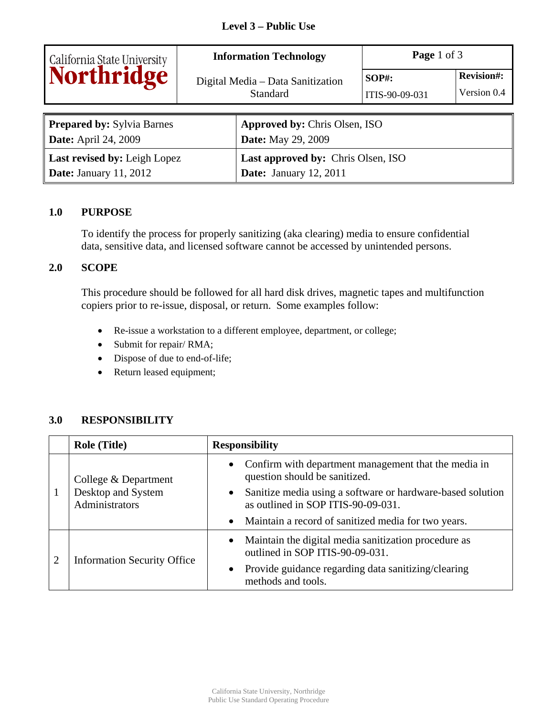| California State University<br>Northridge | <b>Information Technology</b> |                                                      | Page 1 of 3                |                                  |  |
|-------------------------------------------|-------------------------------|------------------------------------------------------|----------------------------|----------------------------------|--|
|                                           |                               | Digital Media - Data Sanitization<br><b>Standard</b> | $SOP#$ :<br>ITIS-90-09-031 | <b>Revision#:</b><br>Version 0.4 |  |
| <b>Prepared by: Sylvia Barnes</b>         |                               | <b>Approved by: Chris Olsen, ISO</b>                 |                            |                                  |  |
| <b>Date:</b> April 24, 2009               |                               | <b>Date:</b> May 29, 2009                            |                            |                                  |  |
| Last revised by: Leigh Lopez              |                               | Last approved by: Chris Olsen, ISO                   |                            |                                  |  |
| <b>Date:</b> January 11, 2012             |                               | <b>Date:</b> January 12, 2011                        |                            |                                  |  |

#### **1.0 PURPOSE**

To identify the process for properly sanitizing (aka clearing) media to ensure confidential data, sensitive data, and licensed software cannot be accessed by unintended persons.

#### **2.0 SCOPE**

This procedure should be followed for all hard disk drives, magnetic tapes and multifunction copiers prior to re-issue, disposal, or return. Some examples follow:

- Re-issue a workstation to a different employee, department, or college;
- Submit for repair/ RMA;
- Dispose of due to end-of-life;
- Return leased equipment;

#### **3.0 RESPONSIBILITY**

| <b>Role (Title)</b>                                          | <b>Responsibility</b>                                                                              |  |  |
|--------------------------------------------------------------|----------------------------------------------------------------------------------------------------|--|--|
| College & Department<br>Desktop and System<br>Administrators | • Confirm with department management that the media in<br>question should be sanitized.            |  |  |
|                                                              | • Sanitize media using a software or hardware-based solution<br>as outlined in SOP ITIS-90-09-031. |  |  |
|                                                              | • Maintain a record of sanitized media for two years.                                              |  |  |
| <b>Information Security Office</b>                           | • Maintain the digital media sanitization procedure as<br>outlined in SOP ITIS-90-09-031.          |  |  |
|                                                              | Provide guidance regarding data sanitizing/clearing<br>$\bullet$<br>methods and tools.             |  |  |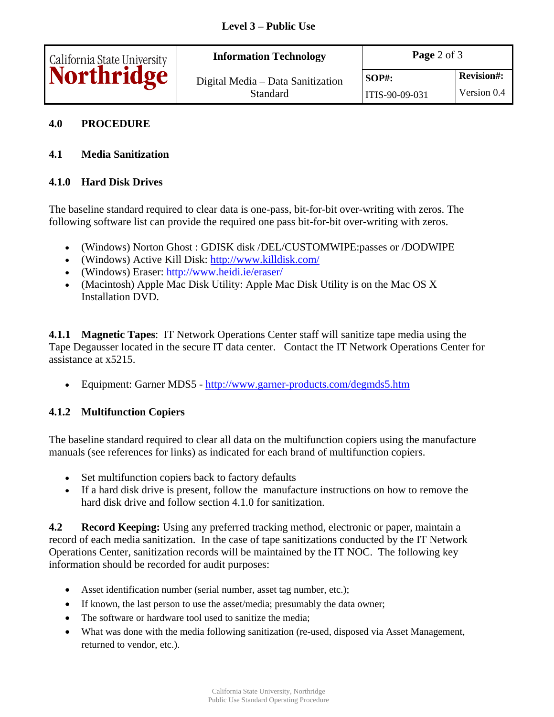| California State University | <b>Information Technology</b>                 | <b>Page</b> 2 of $3$ |                   |
|-----------------------------|-----------------------------------------------|----------------------|-------------------|
| <b>Northridge</b>           | Digital Media – Data Sanitization<br>Standard | $SOP#$ :             | <b>Revision#:</b> |
|                             |                                               | ITIS-90-09-031       | Version 0.4       |

## **4.0 PROCEDURE**

## **4.1 Media Sanitization**

## **4.1.0 Hard Disk Drives**

The baseline standard required to clear data is one-pass, bit-for-bit over-writing with zeros. The following software list can provide the required one pass bit-for-bit over-writing with zeros.

- (Windows) Norton Ghost : GDISK disk /DEL/CUSTOMWIPE:passes or /DODWIPE
- (Windows) Active Kill Disk: [http://www.killdisk.com/](http://www.killdisk.com)
- (Windows) Eraser:<http://www.heidi.ie/eraser>/
- (Macintosh) Apple Mac Disk Utility: Apple Mac Disk Utility is on the Mac OS X Installation DVD.

**4.1.1 Magnetic Tapes**: IT Network Operations Center staff will sanitize tape media using the Tape Degausser located in the secure IT data center. Contact the IT Network Operations Center for assistance at x5215.

• Equipment: Garner MDS5 -<http://www.garner-products.com/degmds5.htm>

# **4.1.2 Multifunction Copiers**

The baseline standard required to clear all data on the multifunction copiers using the manufacture manuals (see references for links) as indicated for each brand of multifunction copiers.

- Set multifunction copiers back to factory defaults
- If a hard disk drive is present, follow the manufacture instructions on how to remove the hard disk drive and follow section 4.1.0 for sanitization.

**4.2 Record Keeping:** Using any preferred tracking method, electronic or paper, maintain a record of each media sanitization. In the case of tape sanitizations conducted by the IT Network Operations Center, sanitization records will be maintained by the IT NOC. The following key information should be recorded for audit purposes:

- Asset identification number (serial number, asset tag number, etc.);
- If known, the last person to use the asset/media; presumably the data owner;
- The software or hardware tool used to sanitize the media;
- What was done with the media following sanitization (re-used, disposed via Asset Management, returned to vendor, etc.).